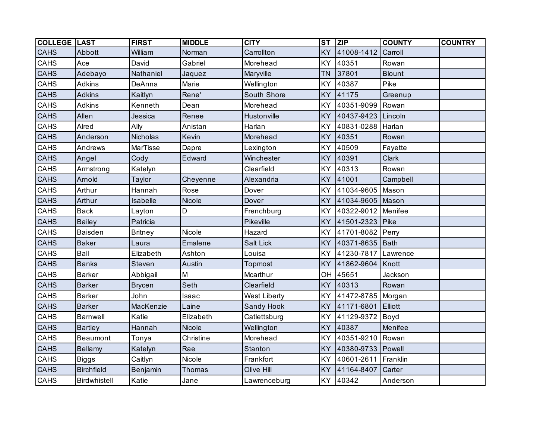| <b>COLLEGE LAST</b> |                   | <b>FIRST</b>   | <b>MIDDLE</b> | <b>CITY</b>         | $\overline{\text{ST}}$ | $\overline{ZIP}$ | <b>COUNTY</b> | <b>COUNTRY</b> |
|---------------------|-------------------|----------------|---------------|---------------------|------------------------|------------------|---------------|----------------|
| <b>CAHS</b>         | Abbott            | William        | Norman        | Carrollton          | <b>KY</b>              | 41008-1412       | Carroll       |                |
| CAHS                | Ace               | David          | Gabriel       | Morehead            | KY                     | 40351            | Rowan         |                |
| <b>CAHS</b>         | Adebayo           | Nathaniel      | Jaquez        | Maryville           | <b>TN</b>              | 37801            | <b>Blount</b> |                |
| CAHS                | Adkins            | DeAnna         | Marie         | Wellington          | <b>KY</b>              | 40387            | Pike          |                |
| <b>CAHS</b>         | <b>Adkins</b>     | Kaitlyn        | Rene'         | South Shore         | <b>KY</b>              | 41175            | Greenup       |                |
| CAHS                | Adkins            | Kenneth        | Dean          | Morehead            | <b>KY</b>              | 40351-9099       | Rowan         |                |
| CAHS                | Allen             | Jessica        | Renee         | Hustonville         | <b>KY</b>              | 40437-9423       | Lincoln       |                |
| CAHS                | Alred             | Ally           | Anistan       | Harlan              | KY                     | 40831-0288       | Harlan        |                |
| CAHS                | Anderson          | Nicholas       | Kevin         | Morehead            | <b>KY</b>              | 40351            | Rowan         |                |
| CAHS                | Andrews           | MarTisse       | Dapre         | Lexington           | KY                     | 40509            | Fayette       |                |
| CAHS                | Angel             | Cody           | Edward        | Winchester          | <b>KY</b>              | 40391            | Clark         |                |
| CAHS                | Armstrong         | Katelyn        |               | Clearfield          | KY                     | 40313            | Rowan         |                |
| <b>CAHS</b>         | Arnold            | Taylor         | Cheyenne      | Alexandria          | <b>KY</b>              | 41001            | Campbell      |                |
| CAHS                | Arthur            | Hannah         | Rose          | Dover               | <b>KY</b>              | 41034-9605       | Mason         |                |
| CAHS                | Arthur            | Isabelle       | Nicole        | Dover               | <b>KY</b>              | 41034-9605       | Mason         |                |
| CAHS                | <b>Back</b>       | Layton         | D             | Frenchburg          | <b>KY</b>              | 40322-9012       | Menifee       |                |
| CAHS                | <b>Bailey</b>     | Patricia       |               | Pikeville           | <b>KY</b>              | 41501-2323       | Pike          |                |
| CAHS                | <b>Baisden</b>    | <b>Britney</b> | Nicole        | Hazard              | KY                     | 41701-8082       | Perry         |                |
| <b>CAHS</b>         | <b>Baker</b>      | Laura          | Emalene       | <b>Salt Lick</b>    | <b>KY</b>              | 40371-8635       | Bath          |                |
| CAHS                | Ball              | Elizabeth      | Ashton        | Louisa              | KY                     | 41230-7817       | Lawrence      |                |
| <b>CAHS</b>         | <b>Banks</b>      | <b>Steven</b>  | Austin        | Topmost             | <b>KY</b>              | 41862-9604       | Knott         |                |
| CAHS                | <b>Barker</b>     | Abbigail       | M             | Mcarthur            | OH                     | 45651            | Jackson       |                |
| <b>CAHS</b>         | <b>Barker</b>     | <b>Brycen</b>  | Seth          | Clearfield          | <b>KY</b>              | 40313            | Rowan         |                |
| CAHS                | <b>Barker</b>     | John           | Isaac         | <b>West Liberty</b> | <b>KY</b>              | 41472-8785       | Morgan        |                |
| <b>CAHS</b>         | <b>Barker</b>     | MacKenzie      | Laine         | Sandy Hook          | <b>KY</b>              | 41171-6801       | Elliott       |                |
| CAHS                | Barnwell          | Katie          | Elizabeth     | Catlettsburg        | <b>KY</b>              | 41129-9372       | Boyd          |                |
| <b>CAHS</b>         | <b>Bartley</b>    | Hannah         | Nicole        | Wellington          | <b>KY</b>              | 40387            | Menifee       |                |
| CAHS                | Beaumont          | Tonya          | Christine     | Morehead            | KY                     | 40351-9210       | Rowan         |                |
| <b>CAHS</b>         | Bellamy           | Katelyn        | Rae           | <b>Stanton</b>      | <b>KY</b>              | 40380-9733       | Powell        |                |
| CAHS                | <b>Biggs</b>      | Caitlyn        | Nicole        | Frankfort           | KY                     | 40601-2611       | Franklin      |                |
| <b>CAHS</b>         | <b>Birchfield</b> | Benjamin       | Thomas        | Olive Hill          | <b>KY</b>              | 41164-8407       | Carter        |                |
| CAHS                | Birdwhistell      | Katie          | Jane          | Lawrenceburg        | KY                     | 40342            | Anderson      |                |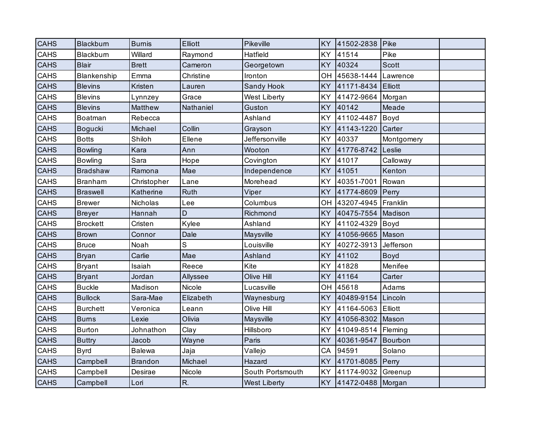| <b>CAHS</b> | Blackburn       | <b>Burnis</b>  | Elliott     | Pikeville           | <b>KY</b> | 41502-2838         | Pike        |  |
|-------------|-----------------|----------------|-------------|---------------------|-----------|--------------------|-------------|--|
| <b>CAHS</b> | Blackburn       | Willard        | Raymond     | Hatfield            | KY        | 41514              | Pike        |  |
| <b>CAHS</b> | <b>Blair</b>    | <b>Brett</b>   | Cameron     | Georgetown          | <b>KY</b> | 40324              | Scott       |  |
| CAHS        | Blankenship     | Emma           | Christine   | Ironton             | OH        | 45638-1444         | Lawrence    |  |
| <b>CAHS</b> | <b>Blevins</b>  | Kristen        | Lauren      | Sandy Hook          | <b>KY</b> | 41171-8434         | Elliott     |  |
| CAHS        | <b>Blevins</b>  | Lynnzey        | Grace       | West Liberty        | <b>KY</b> | 41472-9664         | Morgan      |  |
| <b>CAHS</b> | <b>Blevins</b>  | Matthew        | Nathaniel   | Guston              | <b>KY</b> | 40142              | Meade       |  |
| <b>CAHS</b> | Boatman         | Rebecca        |             | Ashland             | KY        | 41102-4487         | Boyd        |  |
| <b>CAHS</b> | Bogucki         | Michael        | Collin      | Grayson             | <b>KY</b> | 41143-1220         | Carter      |  |
| CAHS        | <b>Botts</b>    | Shiloh         | Ellene      | Jeffersonville      | KY        | 40337              | Montgomery  |  |
| <b>CAHS</b> | <b>Bowling</b>  | Kara           | Ann         | Wooton              | <b>KY</b> | 41776-8742         | Leslie      |  |
| CAHS        | <b>Bowling</b>  | Sara           | Hope        | Covington           | <b>KY</b> | 41017              | Calloway    |  |
| <b>CAHS</b> | <b>Bradshaw</b> | Ramona         | Mae         | Independence        | <b>KY</b> | 41051              | Kenton      |  |
| CAHS        | <b>Branham</b>  | Christopher    | Lane        | Morehead            | <b>KY</b> | 40351-7001         | Rowan       |  |
| <b>CAHS</b> | <b>Braswell</b> | Katherine      | Ruth        | Viper               | <b>KY</b> | 41774-8609         | Perry       |  |
| CAHS        | <b>Brewer</b>   | Nicholas       | Lee         | Columbus            | OH        | 43207-4945         | Franklin    |  |
| <b>CAHS</b> | <b>Breyer</b>   | Hannah         | D           | Richmond            | <b>KY</b> | 40475-7554         | Madison     |  |
| CAHS        | <b>Brockett</b> | Cristen        | Kylee       | Ashland             | <b>KY</b> | 41102-4329         | Boyd        |  |
| <b>CAHS</b> | <b>Brown</b>    | Connor         | Dale        | Maysville           | KY        | 41056-9665         | Mason       |  |
| CAHS        | <b>Bruce</b>    | Noah           | $\mathbb S$ | Louisville          | KY        | 40272-3913         | Jefferson   |  |
| <b>CAHS</b> | <b>Bryan</b>    | Carlie         | Mae         | Ashland             | <b>KY</b> | 41102              | <b>Boyd</b> |  |
| CAHS        | <b>Bryant</b>   | Isaiah         | Reece       | Kite                | <b>KY</b> | 41828              | Menifee     |  |
| <b>CAHS</b> | <b>Bryant</b>   | Jordan         | Allyssee    | Olive Hill          | KY        | 41164              | Carter      |  |
| CAHS        | <b>Buckle</b>   | Madison        | Nicole      | Lucasville          | OH        | 45618              | Adams       |  |
| <b>CAHS</b> | <b>Bullock</b>  | Sara-Mae       | Elizabeth   | Waynesburg          | <b>KY</b> | 40489-9154 Lincoln |             |  |
| CAHS        | <b>Burchett</b> | Veronica       | Leann       | Olive Hill          | KY        | 41164-5063         | Elliott     |  |
| <b>CAHS</b> | <b>Burns</b>    | Lexie          | Olivia      | Maysville           | <b>KY</b> | 41056-8302         | Mason       |  |
| CAHS        | Burton          | Johnathon      | Clay        | Hillsboro           | <b>KY</b> | 41049-8514         | Fleming     |  |
| CAHS        | <b>Buttry</b>   | Jacob          | Wayne       | Paris               | KY        | 40361-9547         | Bourbon     |  |
| CAHS        | <b>Byrd</b>     | <b>Balewa</b>  | Jaja        | Vallejo             | CA        | 94591              | Solano      |  |
| <b>CAHS</b> | Campbell        | <b>Brandon</b> | Michael     | Hazard              | <b>KY</b> | 41701-8085         | Perry       |  |
| CAHS        | Campbell        | Desirae        | Nicole      | South Portsmouth    | <b>KY</b> | 41174-9032 Greenup |             |  |
| <b>CAHS</b> | Campbell        | Lori           | R.          | <b>West Liberty</b> | <b>KY</b> | 41472-0488 Morgan  |             |  |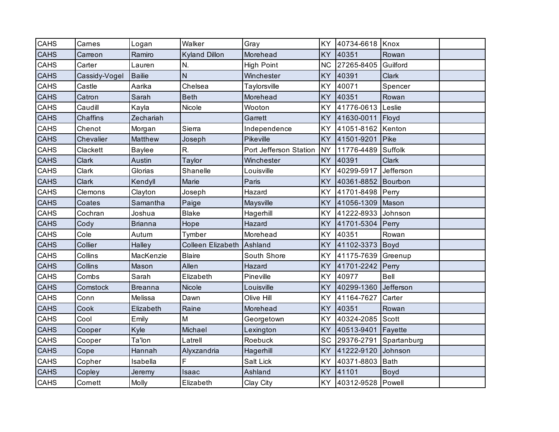| <b>CAHS</b> | Carnes          | Logan          | Walker                   | Gray                   | KY        | 40734-6618           | Knox         |  |
|-------------|-----------------|----------------|--------------------------|------------------------|-----------|----------------------|--------------|--|
| <b>CAHS</b> | Carreon         | Ramiro         | <b>Kyland Dillon</b>     | Morehead               | KY        | 40351                | Rowan        |  |
| CAHS        | Carter          | Lauren         | N.                       | <b>High Point</b>      | <b>NC</b> | 27265-8405           | Guilford     |  |
| <b>CAHS</b> | Cassidy-Vogel   | <b>Bailie</b>  | $\mathsf{N}$             | Winchester             | KY        | 40391                | <b>Clark</b> |  |
| <b>CAHS</b> | Castle          | Aarika         | Chelsea                  | Taylorsville           | KY        | 40071                | Spencer      |  |
| <b>CAHS</b> | Catron          | Sarah          | <b>Beth</b>              | Morehead               | KY        | 40351                | Rowan        |  |
| CAHS        | Caudill         | Kayla          | Nicole                   | Wooton                 | KY        | 41776-0613           | Leslie       |  |
| CAHS        | <b>Chaffins</b> | Zechariah      |                          | Garrett                | KY        | 41630-0011           | Floyd        |  |
| <b>CAHS</b> | Chenot          | Morgan         | Sierra                   | Independence           | KY        | 41051-8162           | Kenton       |  |
| <b>CAHS</b> | Chevalier       | Matthew        | Joseph                   | Pikeville              | KY        | 41501-9201           | Pike         |  |
| CAHS        | Clackett        | <b>Baylee</b>  | R.                       | Port Jefferson Station | <b>NY</b> | 11776-4489           | Suffolk      |  |
| <b>CAHS</b> | Clark           | Austin         | Taylor                   | Winchester             | KY        | 40391                | Clark        |  |
| CAHS        | Clark           | Glorias        | Shanelle                 | Louisville             | KY        | 40299-5917           | Jefferson    |  |
| <b>CAHS</b> | Clark           | Kendyll        | Marie                    | Paris                  | <b>KY</b> | 40361-8852           | Bourbon      |  |
| CAHS        | Clemons         | Clayton        | Joseph                   | Hazard                 | KY        | 41701-8498           | Perry        |  |
| <b>CAHS</b> | Coates          | Samantha       | Paige                    | Maysville              | KY        | 41056-1309           | Mason        |  |
| CAHS        | Cochran         | Joshua         | <b>Blake</b>             | Hagerhill              | KY        | 41222-8933           | Johnson      |  |
| <b>CAHS</b> | Cody            | <b>Brianna</b> | Hope                     | Hazard                 | KY        | 41701-5304           | Perry        |  |
| CAHS        | Cole            | Autum          | Tymber                   | Morehead               | <b>KY</b> | 40351                | Rowan        |  |
| <b>CAHS</b> | Collier         | Halley         | <b>Colleen Elizabeth</b> | Ashland                | KY        | 41102-3373           | Boyd         |  |
| CAHS        | Collins         | MacKenzie      | <b>Blaire</b>            | South Shore            | KY        | 41175-7639           | Greenup      |  |
| CAHS        | Collins         | Mason          | Allen                    | Hazard                 | KY        | 41701-2242           | Perry        |  |
| CAHS        | Combs           | Sarah          | Elizabeth                | Pineville              | <b>KY</b> | 40977                | Bell         |  |
| <b>CAHS</b> | Comstock        | <b>Breanna</b> | Nicole                   | Louisville             | KY        | 40299-1360           | Jefferson    |  |
| CAHS        | Conn            | Melissa        | Dawn                     | Olive Hill             | KY        | 41164-7627           | Carter       |  |
| <b>CAHS</b> | Cook            | Elizabeth      | Raine                    | Morehead               | KY        | 40351                | Rowan        |  |
| CAHS        | Cool            | Emily          | M                        | Georgetown             | KY        | 40324-2085           | Scott        |  |
| <b>CAHS</b> | Cooper          | Kyle           | Michael                  | Lexington              | <b>KY</b> | 40513-9401           | Fayette      |  |
| CAHS        | Cooper          | Ta'lon         | Latrell                  | Roebuck                | SC        | 29376-2791           | Spartanburg  |  |
| <b>CAHS</b> | Cope            | Hannah         | Alyxzandria              | Hagerhill              | KY        | 41222-9120           | Johnson      |  |
| CAHS        | Copher          | Isabella       | F                        | Salt Lick              | KY        | 40371-8803           | Bath         |  |
| <b>CAHS</b> | Copley          | Jeremy         | Isaac                    | Ashland                | KY        | 41101                | <b>Boyd</b>  |  |
| CAHS        | Cornett         | Molly          | Elizabeth                | Clay City              |           | KY 40312-9528 Powell |              |  |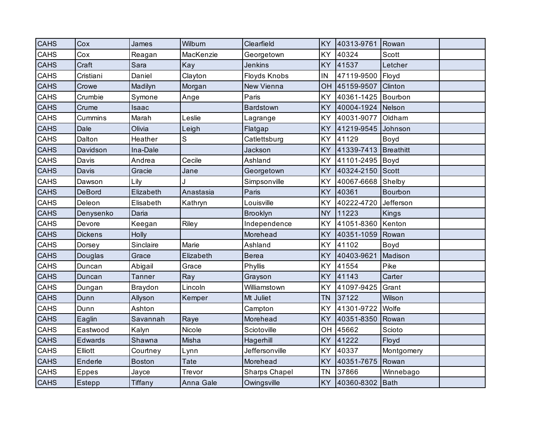| <b>CAHS</b> | Cox            | James          | Wilburn     | Clearfield           | <b>KY</b> | 40313-9761 Rowan |            |  |
|-------------|----------------|----------------|-------------|----------------------|-----------|------------------|------------|--|
| CAHS        | Cox            | Reagan         | MacKenzie   | Georgetown           | <b>KY</b> | 40324            | Scott      |  |
| <b>CAHS</b> | Craft          | Sara           | Kay         | <b>Jenkins</b>       | <b>KY</b> | 41537            | Letcher    |  |
| CAHS        | Cristiani      | Daniel         | Clayton     | Floyds Knobs         | IN        | 47119-9500       | Floyd      |  |
| <b>CAHS</b> | Crowe          | Madilyn        | Morgan      | New Vienna           | OH        | 45159-9507       | Clinton    |  |
| CAHS        | Crumbie        | Symone         | Ange        | Paris                | KY        | 40361-1425       | Bourbon    |  |
| <b>CAHS</b> | Crume          | Isaac          |             | Bardstown            | <b>KY</b> | 40004-1924       | Nelson     |  |
| CAHS        | Cummins        | Marah          | Leslie      | Lagrange             | KY        | 40031-9077       | Oldham     |  |
| <b>CAHS</b> | Dale           | Olivia         | Leigh       | Flatgap              | <b>KY</b> | 41219-9545       | Johnson    |  |
| CAHS        | Dalton         | Heather        | $\mathbf S$ | Catlettsburg         | <b>KY</b> | 41129            | Boyd       |  |
| <b>CAHS</b> | Davidson       | Ina-Dale       |             | Jackson              | <b>KY</b> | 41339-7413       | Breathitt  |  |
| <b>CAHS</b> | Davis          | Andrea         | Cecile      | Ashland              | KY        | 41101-2495       | Boyd       |  |
| <b>CAHS</b> | Davis          | Gracie         | Jane        | Georgetown           | <b>KY</b> | 40324-2150       | Scott      |  |
| <b>CAHS</b> | Dawson         | Lily           |             | Simpsonville         | KY        | 40067-6668       | Shelby     |  |
| <b>CAHS</b> | <b>DeBord</b>  | Elizabeth      | Anastasia   | Paris                | <b>KY</b> | 40361            | Bourbon    |  |
| CAHS        | Deleon         | Elisabeth      | Kathryn     | Louisville           | KY        | 40222-4720       | Jefferson  |  |
| <b>CAHS</b> | Denysenko      | Daria          |             | <b>Brooklyn</b>      | <b>NY</b> | 11223            | Kings      |  |
| CAHS        | Devore         | Keegan         | Riley       | Independence         | <b>KY</b> | 41051-8360       | Kenton     |  |
| <b>CAHS</b> | <b>Dickens</b> | Holly          |             | Morehead             | <b>KY</b> | 40351-1059       | Rowan      |  |
| CAHS        | Dorsey         | Sinclaire      | Marie       | Ashland              | KY        | 41102            | Boyd       |  |
| <b>CAHS</b> | Douglas        | Grace          | Elizabeth   | <b>Berea</b>         | <b>KY</b> | 40403-9621       | Madison    |  |
| CAHS        | Duncan         | Abigail        | Grace       | Phyllis              | KY        | 41554            | Pike       |  |
| <b>CAHS</b> | Duncan         | <b>Tanner</b>  | Ray         | Grayson              | <b>KY</b> | 41143            | Carter     |  |
| CAHS        | Dungan         | Braydon        | Lincoln     | Williamstown         | KY        | 41097-9425       | Grant      |  |
| <b>CAHS</b> | Dunn           | Allyson        | Kemper      | Mt Juliet            | <b>TN</b> | 37122            | Wilson     |  |
| CAHS        | Dunn           | Ashton         |             | Campton              | <b>KY</b> | 41301-9722       | Wolfe      |  |
| CAHS        | Eaglin         | Savannah       | Raye        | Morehead             | <b>KY</b> | 40351-8350       | Rowan      |  |
| CAHS        | Eastwood       | Kalyn          | Nicole      | Sciotoville          | OH        | 45662            | Scioto     |  |
| <b>CAHS</b> | Edwards        | Shawna         | Misha       | Hagerhill            | <b>KY</b> | 41222            | Floyd      |  |
| CAHS        | Elliott        | Courtney       | Lynn        | Jeffersonville       | <b>KY</b> | 40337            | Montgomery |  |
| <b>CAHS</b> | Enderle        | <b>Boston</b>  | <b>Tate</b> | Morehead             | <b>KY</b> | 40351-7675       | Rowan      |  |
| CAHS        | <b>Eppes</b>   | Jayce          | Trevor      | <b>Sharps Chapel</b> | <b>TN</b> | 37866            | Winnebago  |  |
| <b>CAHS</b> | Estepp         | <b>Tiffany</b> | Anna Gale   | Owingsville          | <b>KY</b> | 40360-8302       | Bath       |  |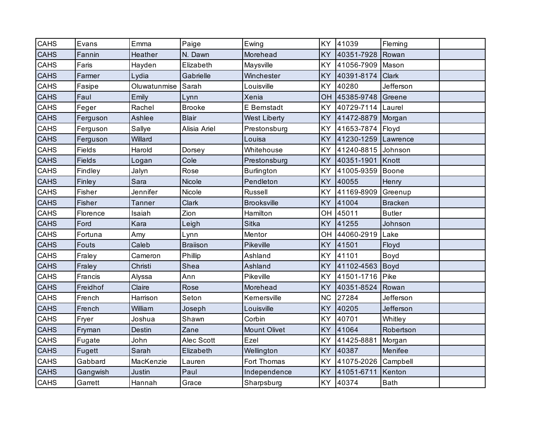| <b>CAHS</b> | Evans         | Emma          | Paige           | Ewing               | KY        | 41039      | Fleming        |  |
|-------------|---------------|---------------|-----------------|---------------------|-----------|------------|----------------|--|
| <b>CAHS</b> | Fannin        | Heather       | N. Dawn         | Morehead            | <b>KY</b> | 40351-7928 | Rowan          |  |
| CAHS        | Faris         | Hayden        | Elizabeth       | Maysville           | <b>KY</b> | 41056-7909 | Mason          |  |
| <b>CAHS</b> | Farmer        | Lydia         | Gabrielle       | Winchester          | <b>KY</b> | 40391-8174 | Clark          |  |
| CAHS        | Fasipe        | Oluwatunmise  | Sarah           | Louisville          | KY        | 40280      | Jefferson      |  |
| <b>CAHS</b> | Faul          | Emily         | Lynn            | Xenia               | OH        | 45385-9748 | Greene         |  |
| CAHS        | Feger         | Rachel        | <b>Brooke</b>   | E Bernstadt         | KY        | 40729-7114 | Laurel         |  |
| <b>CAHS</b> | Ferguson      | Ashlee        | <b>Blair</b>    | <b>West Liberty</b> | <b>KY</b> | 41472-8879 | Morgan         |  |
| CAHS        | Ferguson      | Sallye        | Alisia Ariel    | Prestonsburg        | <b>KY</b> | 41653-7874 | Floyd          |  |
| <b>CAHS</b> | Ferguson      | Willard       |                 | Louisa              | <b>KY</b> | 41230-1259 | Lawrence       |  |
| CAHS        | Fields        | Harold        | Dorsey          | Whitehouse          | KY        | 41240-8815 | Johnson        |  |
| <b>CAHS</b> | <b>Fields</b> | Logan         | Cole            | Prestonsburg        | <b>KY</b> | 40351-1901 | Knott          |  |
| <b>CAHS</b> | Findley       | Jalyn         | Rose            | <b>Burlington</b>   | <b>KY</b> | 41005-9359 | Boone          |  |
| <b>CAHS</b> | Finley        | Sara          | Nicole          | Pendleton           | KY        | 40055      | Henry          |  |
| CAHS        | Fisher        | Jennifer      | Nicole          | <b>Russell</b>      | <b>KY</b> | 41169-8909 | Greenup        |  |
| <b>CAHS</b> | Fisher        | <b>Tanner</b> | <b>Clark</b>    | <b>Brooksville</b>  | KY        | 41004      | <b>Bracken</b> |  |
| CAHS        | Florence      | Isaiah        | Zion            | Hamilton            | OH        | 45011      | <b>Butler</b>  |  |
| <b>CAHS</b> | Ford          | Kara          | Leigh           | <b>Sitka</b>        | <b>KY</b> | 41255      | Johnson        |  |
| CAHS        | Fortuna       | Amy           | Lynn            | Mentor              | OH        | 44060-2919 | Lake           |  |
| <b>CAHS</b> | <b>Fouts</b>  | Caleb         | <b>Brailson</b> | Pikeville           | <b>KY</b> | 41501      | Floyd          |  |
| CAHS        | Fraley        | Cameron       | Phillip         | Ashland             | <b>KY</b> | 41101      | Boyd           |  |
| <b>CAHS</b> | Fraley        | Christi       | Shea            | Ashland             | <b>KY</b> | 41102-4563 | Boyd           |  |
| CAHS        | Francis       | Alyssa        | Ann             | Pikeville           | <b>KY</b> | 41501-1716 | Pike           |  |
| <b>CAHS</b> | Freidhof      | Claire        | Rose            | Morehead            | <b>KY</b> | 40351-8524 | Rowan          |  |
| CAHS        | French        | Harrison      | Seton           | Kernersville        | <b>NC</b> | 27284      | Jefferson      |  |
| <b>CAHS</b> | French        | William       | Joseph          | Louisville          | KY        | 40205      | Jefferson      |  |
| <b>CAHS</b> | Fryer         | Joshua        | Shawn           | Corbin              | KY        | 40701      | Whitley        |  |
| <b>CAHS</b> | Fryman        | Destin        | Zane            | <b>Mount Olivet</b> | <b>KY</b> | 41064      | Robertson      |  |
| CAHS        | Fugate        | John          | Alec Scott      | Ezel                | KY        | 41425-8881 | Morgan         |  |
| <b>CAHS</b> | Fugett        | Sarah         | Elizabeth       | Wellington          | <b>KY</b> | 40387      | Menifee        |  |
| CAHS        | Gabbard       | MacKenzie     | Lauren          | Fort Thomas         | <b>KY</b> | 41075-2026 | Campbell       |  |
| <b>CAHS</b> | Gangwish      | Justin        | Paul            | Independence        | <b>KY</b> | 41051-6711 | Kenton         |  |
| CAHS        | Garrett       | Hannah        | Grace           | Sharpsburg          | KY        | 40374      | <b>Bath</b>    |  |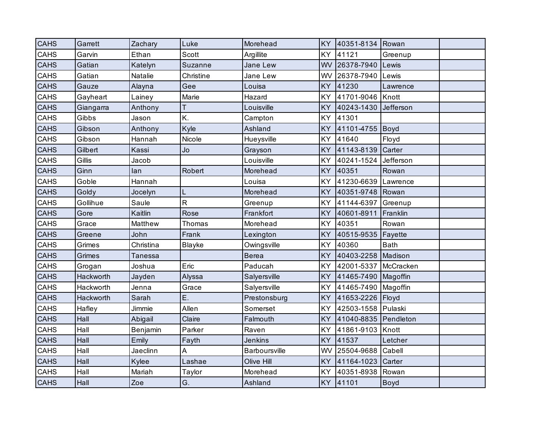| <b>CAHS</b> | Garrett   | Zachary   | Luke          | Morehead       | <b>KY</b> | 40351-8134 Rowan |             |  |
|-------------|-----------|-----------|---------------|----------------|-----------|------------------|-------------|--|
| CAHS        | Garvin    | Ethan     | Scott         | Argillite      | <b>KY</b> | 41121            | Greenup     |  |
| CAHS        | Gatian    | Katelyn   | Suzanne       | Jane Lew       | WV        | 26378-7940       | Lewis       |  |
| CAHS        | Gatian    | Natalie   | Christine     | Jane Lew       | WV        | 26378-7940       | Lewis       |  |
| <b>CAHS</b> | Gauze     | Alayna    | Gee           | Louisa         | KY        | 41230            | Lawrence    |  |
| CAHS        | Gayheart  | Lainey    | Marie         | Hazard         | KY        | 41701-9046       | Knott       |  |
| CAHS        | Giangarra | Anthony   | Τ             | Louisville     | KY        | 40243-1430       | Jefferson   |  |
| CAHS        | Gibbs     | Jason     | K.            | Campton        | KY        | 41301            |             |  |
| <b>CAHS</b> | Gibson    | Anthony   | Kyle          | Ashland        | <b>KY</b> | 41101-4755       | Boyd        |  |
| CAHS        | Gibson    | Hannah    | Nicole        | Hueysville     | KY        | 41640            | Floyd       |  |
| <b>CAHS</b> | Gilbert   | Kassi     | Jo            | Grayson        | KY        | 41143-8139       | Carter      |  |
| CAHS        | Gillis    | Jacob     |               | Louisville     | KY        | 40241-1524       | Jefferson   |  |
| <b>CAHS</b> | Ginn      | lan       | Robert        | Morehead       | <b>KY</b> | 40351            | Rowan       |  |
| <b>CAHS</b> | Goble     | Hannah    |               | Louisa         | KY        | 41230-6639       | Lawrence    |  |
| <b>CAHS</b> | Goldy     | Jocelyn   | L             | Morehead       | KY        | 40351-9748       | Rowan       |  |
| CAHS        | Gollihue  | Saule     | $\mathsf{R}$  | Greenup        | KY        | 41144-6397       | Greenup     |  |
| <b>CAHS</b> | Gore      | Kaitlin   | Rose          | Frankfort      | <b>KY</b> | 40601-8911       | Franklin    |  |
| CAHS        | Grace     | Matthew   | Thomas        | Morehead       | KY        | 40351            | Rowan       |  |
| <b>CAHS</b> | Greene    | John      | Frank         | Lexington      | KY        | 40515-9535       | Fayette     |  |
| <b>CAHS</b> | Grimes    | Christina | <b>Blayke</b> | Owingsville    | KY        | 40360            | <b>Bath</b> |  |
| <b>CAHS</b> | Grimes    | Tanessa   |               | <b>Berea</b>   | KY        | 40403-2258       | Madison     |  |
| CAHS        | Grogan    | Joshua    | Eric          | Paducah        | KY        | 42001-5337       | McCracken   |  |
| <b>CAHS</b> | Hackworth | Jayden    | Alyssa        | Salyersville   | KY        | 41465-7490       | Magoffin    |  |
| CAHS        | Hackworth | Jenna     | Grace         | Salyersville   | KY        | 41465-7490       | Magoffin    |  |
| <b>CAHS</b> | Hackworth | Sarah     | Ε.            | Prestonsburg   | <b>KY</b> | 41653-2226       | Floyd       |  |
| CAHS        | Hafley    | Jimmie    | Allen         | Somerset       | KY        | 42503-1558       | Pulaski     |  |
| <b>CAHS</b> | Hall      | Abigail   | Claire        | Falmouth       | KY        | 41040-8835       | Pendleton   |  |
| CAHS        | Hall      | Benjamin  | Parker        | Raven          | KY        | 41861-9103       | Knott       |  |
| <b>CAHS</b> | Hall      | Emily     | Fayth         | <b>Jenkins</b> | KY        | 41537            | Letcher     |  |
| CAHS        | Hall      | Jaeclinn  | A             | Barboursville  | WV        | 25504-9688       | Cabell      |  |
| <b>CAHS</b> | Hall      | Kylee     | Lashae        | Olive Hill     | KY        | 41164-1023       | Carter      |  |
| CAHS        | Hall      | Mariah    | Taylor        | Morehead       | KY        | 40351-8938       | Rowan       |  |
| <b>CAHS</b> | Hall      | Zoe       | G.            | Ashland        |           | KY 41101         | <b>Boyd</b> |  |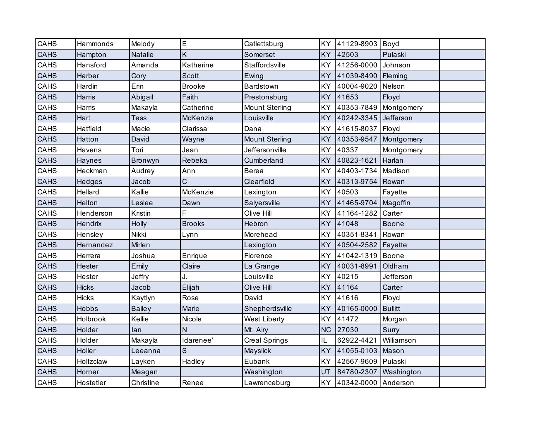| CAHS        | Hammonds     | Melody        | E             | Catlettsburg          | KY        | 41129-8903          | Boyd           |  |
|-------------|--------------|---------------|---------------|-----------------------|-----------|---------------------|----------------|--|
| <b>CAHS</b> | Hampton      | Natalie       | K             | Somerset              | KY        | 42503               | Pulaski        |  |
| CAHS        | Hansford     | Amanda        | Katherine     | Staffordsville        | KY        | 41256-0000          | Johnson        |  |
| <b>CAHS</b> | Harber       | Cory          | <b>Scott</b>  | Ewing                 | KY        | 41039-8490          | Fleming        |  |
| CAHS        | Hardin       | Erin          | <b>Brooke</b> | Bardstown             | KY        | 40004-9020          | Nelson         |  |
| <b>CAHS</b> | Harris       | Abigail       | Faith         | Prestonsburg          | KY        | 41653               | Floyd          |  |
| CAHS        | Harris       | Makayla       | Catherine     | <b>Mount Sterling</b> | KY        | 40353-7849          | Montgomery     |  |
| <b>CAHS</b> | Hart         | <b>Tess</b>   | McKenzie      | Louisville            | KY        | 40242-3345          | Jefferson      |  |
| CAHS        | Hatfield     | Macie         | Clarissa      | Dana                  | KY        | 41615-8037          | Floyd          |  |
| <b>CAHS</b> | Hatton       | David         | Wayne         | <b>Mount Sterling</b> | <b>KY</b> | 40353-9547          | Montgomery     |  |
| CAHS        | Havens       | Tori          | Jean          | Jeffersonville        | KY        | 40337               | Montgomery     |  |
| <b>CAHS</b> | Haynes       | Bronwyn       | Rebeka        | Cumberland            | KY        | 40823-1621          | Harlan         |  |
| CAHS        | Heckman      | Audrey        | Ann           | <b>Berea</b>          | KY        | 40403-1734          | Madison        |  |
| CAHS        | Hedges       | Jacob         | Ć             | Clearfield            | KY        | 40313-9754          | Rowan          |  |
| CAHS        | Hellard      | Kallie        | McKenzie      | Lexington             | <b>KY</b> | 40503               | Fayette        |  |
| <b>CAHS</b> | Helton       | Leslee        | Dawn          | Salyersville          | KY        | 41465-9704          | Magoffin       |  |
| CAHS        | Henderson    | Kristin       | F             | Olive Hill            | KY        | 41164-1282          | Carter         |  |
| CAHS        | Hendrix      | Holly         | <b>Brooks</b> | Hebron                | KY        | 41048               | <b>Boone</b>   |  |
| CAHS        | Hensley      | Nikki         | Lynn          | Morehead              | KY        | 40351-8341          | Rowan          |  |
| <b>CAHS</b> | Hernandez    | Mirlen        |               | Lexington             | KY        | 40504-2582          | Fayette        |  |
| CAHS        | Herrera      | Joshua        | Enrique       | Florence              | KY        | 41042-1319          | Boone          |  |
| <b>CAHS</b> | Hester       | Emily         | Claire        | La Grange             | KY        | 40031-8991          | Oldham         |  |
| CAHS        | Hester       | Jeffry        | J.            | Louisville            | KY        | 40215               | Jefferson      |  |
| <b>CAHS</b> | <b>Hicks</b> | Jacob         | Elijah        | Olive Hill            | KY        | 41164               | Carter         |  |
| CAHS        | <b>Hicks</b> | Kaytlyn       | Rose          | David                 | KY        | 41616               | Floyd          |  |
| <b>CAHS</b> | <b>Hobbs</b> | <b>Bailey</b> | Marie         | Shepherdsville        | KY        | 40165-0000          | <b>Bullitt</b> |  |
| <b>CAHS</b> | Holbrook     | Kellie        | Nicole        | <b>West Liberty</b>   | KY        | 41472               | Morgan         |  |
| <b>CAHS</b> | Holder       | lan           | $\mathsf{N}$  | Mt. Airy              | <b>NC</b> | 27030               | Surry          |  |
| CAHS        | Holder       | Makayla       | Idarenee'     | <b>Creal Springs</b>  | IL        | 62922-4421          | Williamson     |  |
| <b>CAHS</b> | Holler       | Leeanna       | S             | Mayslick              | <b>KY</b> | 41055-0103          | Mason          |  |
| CAHS        | Holtzclaw    | Layken        | Hadley        | Eubank                | KY        | 42567-9609          | Pulaski        |  |
| <b>CAHS</b> | Horner       | Meagan        |               | Washington            | UT        | 84780-2307          | Washington     |  |
| CAHS        | Hostetler    | Christine     | Renee         | Lawrenceburg          | KY        | 40342-0000 Anderson |                |  |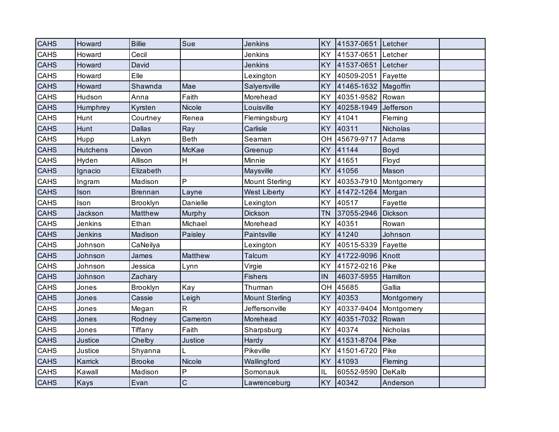| <b>CAHS</b> | Howard          | <b>Billie</b>  | Sue          | <b>Jenkins</b>        | <b>KY</b> | 41537-0651 Letcher |            |  |
|-------------|-----------------|----------------|--------------|-----------------------|-----------|--------------------|------------|--|
| CAHS        | Howard          | Cecil          |              | Jenkins               | KY        | 41537-0651         | Letcher    |  |
| <b>CAHS</b> | Howard          | David          |              | <b>Jenkins</b>        | KY        | 41537-0651         | Letcher    |  |
| CAHS        | Howard          | Elle           |              | Lexington             | KY        | 40509-2051         | Fayette    |  |
| <b>CAHS</b> | Howard          | Shawnda        | Mae          | Salyersville          | KY        | 41465-1632         | Magoffin   |  |
| CAHS        | Hudson          | Anna           | Faith        | Morehead              | KY        | 40351-9582         | Rowan      |  |
| CAHS        | Humphrey        | Kyrsten        | Nicole       | Louisville            | KY        | 40258-1949         | Jefferson  |  |
| CAHS        | Hunt            | Courtney       | Renea        | Flemingsburg          | <b>KY</b> | 41041              | Fleming    |  |
| <b>CAHS</b> | Hunt            | <b>Dallas</b>  | Ray          | Carlisle              | <b>KY</b> | 40311              | Nicholas   |  |
| CAHS        | Hupp            | Lakyn          | <b>Beth</b>  | Seaman                | OH        | 45679-9717         | Adams      |  |
| CAHS        | <b>Hutchens</b> | Devon          | McKae        | Greenup               | KY        | 41144              | Boyd       |  |
| CAHS        | Hyden           | Allison        | H            | Minnie                | KY        | 41651              | Floyd      |  |
| <b>CAHS</b> | Ignacio         | Elizabeth      |              | Maysville             | <b>KY</b> | 41056              | Mason      |  |
| CAHS        | Ingram          | Madison        | P            | <b>Mount Sterling</b> | KY        | 40353-7910         | Montgomery |  |
| <b>CAHS</b> | Ison            | <b>Brennan</b> | Layne        | <b>West Liberty</b>   | KY        | 41472-1264         | Morgan     |  |
| CAHS        | Ison            | Brooklyn       | Danielle     | Lexington             | KY        | 40517              | Fayette    |  |
| <b>CAHS</b> | Jackson         | Matthew        | Murphy       | Dickson               | <b>TN</b> | 37055-2946         | Dickson    |  |
| CAHS        | Jenkins         | Ethan          | Michael      | Morehead              | KY        | 40351              | Rowan      |  |
| <b>CAHS</b> | <b>Jenkins</b>  | Madison        | Paisley      | Paintsville           | KY        | 41240              | Johnson    |  |
| CAHS        | Johnson         | CaNeilya       |              | Lexington             | KY        | 40515-5339         | Fayette    |  |
| <b>CAHS</b> | Johnson         | James          | Matthew      | Talcum                | KY        | 41722-9096         | Knott      |  |
| CAHS        | Johnson         | Jessica        | Lynn         | Virgie                | KY        | 41572-0216         | Pike       |  |
| <b>CAHS</b> | Johnson         | Zachary        |              | <b>Fishers</b>        | IN        | 46037-5955         | Hamilton   |  |
| CAHS        | Jones           | Brooklyn       | Kay          | Thurman               | OH        | 45685              | Gallia     |  |
| <b>CAHS</b> | Jones           | Cassie         | Leigh        | <b>Mount Sterling</b> | KY        | 40353              | Montgomery |  |
| CAHS        | Jones           | Megan          | R            | Jeffersonville        | KY        | 40337-9404         | Montgomery |  |
| CAHS        | Jones           | Rodney         | Cameron      | Morehead              | KY        | 40351-7032         | Rowan      |  |
| <b>CAHS</b> | Jones           | Tiffany        | Faith        | Sharpsburg            | KY        | 40374              | Nicholas   |  |
| <b>CAHS</b> | Justice         | Chelby         | Justice      | Hardy                 | KY        | 41531-8704         | Pike       |  |
| CAHS        | Justice         | Shyanna        | L            | Pikeville             | KY        | 41501-6720         | Pike       |  |
| <b>CAHS</b> | Karrick         | <b>Brooke</b>  | Nicole       | Wallingford           | KY        | 41093              | Fleming    |  |
| CAHS        | Kawall          | Madison        | P            | Somonauk              | IL        | 60552-9590         | DeKalb     |  |
| <b>CAHS</b> | Kays            | Evan           | $\mathsf{C}$ | Lawrenceburg          | <b>KY</b> | 40342              | Anderson   |  |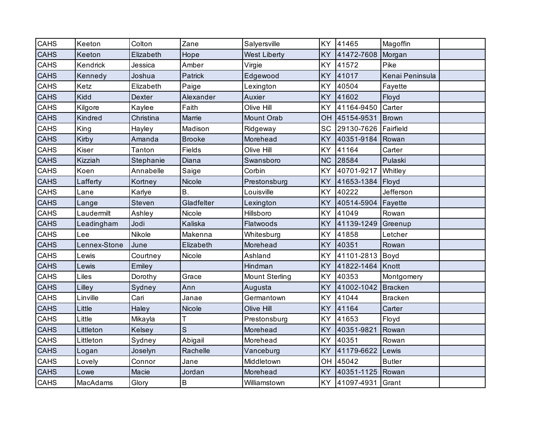| CAHS        | Keeton       | Colton        | Zane          | Salyersville          | KY        | 41465            | Magoffin        |  |
|-------------|--------------|---------------|---------------|-----------------------|-----------|------------------|-----------------|--|
| <b>CAHS</b> | Keeton       | Elizabeth     | Hope          | <b>West Liberty</b>   | <b>KY</b> | 41472-7608       | Morgan          |  |
| CAHS        | Kendrick     | Jessica       | Amber         | Virgie                | KY        | 41572            | Pike            |  |
| <b>CAHS</b> | Kennedy      | Joshua        | Patrick       | Edgewood              | <b>KY</b> | 41017            | Kenai Peninsula |  |
| <b>CAHS</b> | Ketz         | Elizabeth     | Paige         | Lexington             | <b>KY</b> | 40504            | Fayette         |  |
| <b>CAHS</b> | Kidd         | Dexter        | Alexander     | Auxier                | KY        | 41602            | Floyd           |  |
| CAHS        | Kilgore      | Kaylee        | Faith         | Olive Hill            | <b>KY</b> | 41164-9450       | Carter          |  |
| <b>CAHS</b> | Kindred      | Christina     | Marrie        | Mount Orab            | OH        | 45154-9531       | <b>Brown</b>    |  |
| CAHS        | King         | Hayley        | Madison       | Ridgeway              | SC        | 29130-7626       | Fairfield       |  |
| <b>CAHS</b> | Kirby        | Amanda        | <b>Brooke</b> | Morehead              | <b>KY</b> | 40351-9184       | Rowan           |  |
| CAHS        | Kiser        | Tanton        | Fields        | Olive Hill            | <b>KY</b> | 41164            | Carter          |  |
| <b>CAHS</b> | Kizziah      | Stephanie     | Diana         | Swansboro             | <b>NC</b> | 28584            | Pulaski         |  |
| CAHS        | Koen         | Annabelle     | Saige         | Corbin                | <b>KY</b> | 40701-9217       | Whitley         |  |
| CAHS        | Lafferty     | Kortney       | Nicole        | Prestonsburg          | <b>KY</b> | 41653-1384       | Floyd           |  |
| CAHS        | Lane         | Karlye        | B.            | Louisville            | KY        | 40222            | Jefferson       |  |
| <b>CAHS</b> | Lange        | <b>Steven</b> | Gladfelter    | Lexington             | <b>KY</b> | 40514-5904       | Fayette         |  |
| <b>CAHS</b> | Laudermilt   | Ashley        | Nicole        | Hillsboro             | KY        | 41049            | Rowan           |  |
| <b>CAHS</b> | Leadingham   | Jodi          | Kaliska       | Flatwoods             | <b>KY</b> | 41139-1249       | Greenup         |  |
| CAHS        | Lee          | Nikole        | Makenna       | Whitesburg            | KY        | 41858            | Letcher         |  |
| <b>CAHS</b> | Lennex-Stone | June          | Elizabeth     | Morehead              | <b>KY</b> | 40351            | Rowan           |  |
| CAHS        | Lewis        | Courtney      | Nicole        | Ashland               | KY        | 41101-2813       | Boyd            |  |
| CAHS        | Lewis        | Emiley        |               | Hindman               | <b>KY</b> | 41822-1464       | Knott           |  |
| CAHS        | Liles        | Dorothy       | Grace         | <b>Mount Sterling</b> | <b>KY</b> | 40353            | Montgomery      |  |
| <b>CAHS</b> | Lilley       | Sydney        | Ann           | Augusta               | <b>KY</b> | 41002-1042       | <b>Bracken</b>  |  |
| CAHS        | Linville     | Cari          | Janae         | Germantown            | <b>KY</b> | 41044            | <b>Bracken</b>  |  |
| <b>CAHS</b> | Little       | Haley         | Nicole        | Olive Hill            | <b>KY</b> | 41164            | Carter          |  |
| CAHS        | Little       | Mikayla       | Т             | Prestonsburg          | <b>KY</b> | 41653            | Floyd           |  |
| <b>CAHS</b> | Littleton    | Kelsey        | S             | Morehead              | <b>KY</b> | 40351-9821       | Rowan           |  |
| <b>CAHS</b> | Littleton    | Sydney        | Abigail       | Morehead              | KY        | 40351            | Rowan           |  |
| <b>CAHS</b> | Logan        | Joselyn       | Rachelle      | Vanceburg             | <b>KY</b> | 41179-6622       | Lewis           |  |
| CAHS        | Lovely       | Connor        | Jane          | Middletown            | OH        | 45042            | <b>Butler</b>   |  |
| <b>CAHS</b> | Lowe         | Macie         | Jordan        | Morehead              | <b>KY</b> | 40351-1125       | Rowan           |  |
| CAHS        | MacAdams     | Glory         | B             | Williamstown          | <b>KY</b> | 41097-4931 Grant |                 |  |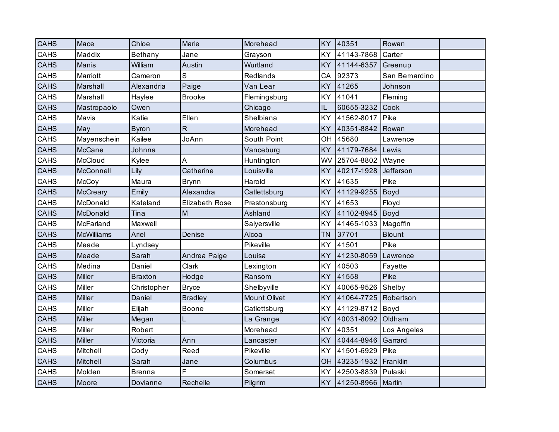| <b>CAHS</b> | Mace          | Chloe          | Marie          | Morehead            | <b>KY</b> | 40351             | Rowan          |  |
|-------------|---------------|----------------|----------------|---------------------|-----------|-------------------|----------------|--|
| <b>CAHS</b> | Maddix        | Bethany        | Jane           | Grayson             | KY        | 41143-7868        | Carter         |  |
| <b>CAHS</b> | Manis         | William        | Austin         | Wurtland            | <b>KY</b> | 41144-6357        | Greenup        |  |
| CAHS        | Marriott      | Cameron        | S              | Redlands            | CA        | 92373             | San Bernardino |  |
| <b>CAHS</b> | Marshall      | Alexandria     | Paige          | Van Lear            | <b>KY</b> | 41265             | Johnson        |  |
| CAHS        | Marshall      | Haylee         | <b>Brooke</b>  | Flemingsburg        | KY        | 41041             | Fleming        |  |
| <b>CAHS</b> | Mastropaolo   | Owen           |                | Chicago             | $\sf IL$  | 60655-3232        | Cook           |  |
| <b>CAHS</b> | Mavis         | Katie          | Ellen          | Shelbiana           | <b>KY</b> | 41562-8017        | Pike           |  |
| <b>CAHS</b> | May           | <b>Byron</b>   | $\mathsf{R}$   | Morehead            | <b>KY</b> | 40351-8842        | Rowan          |  |
| CAHS        | Mayenschein   | Kailee         | JoAnn          | South Point         | OH        | 45680             | Lawrence       |  |
| <b>CAHS</b> | McCane        | Johnna         |                | Vanceburg           | <b>KY</b> | 41179-7684        | Lewis          |  |
| CAHS        | McCloud       | Kylee          | A              | Huntington          | WV        | 25704-8802        | Wayne          |  |
| <b>CAHS</b> | McConnell     | Lily           | Catherine      | Louisville          | <b>KY</b> | 40217-1928        | Jefferson      |  |
| CAHS        | McCoy         | Maura          | <b>Brynn</b>   | Harold              | <b>KY</b> | 41635             | Pike           |  |
| <b>CAHS</b> | McCreary      | Emily          | Alexandra      | Catlettsburg        | <b>KY</b> | 41129-9255        | <b>Boyd</b>    |  |
| CAHS        | McDonald      | Kateland       | Elizabeth Rose | Prestonsburg        | <b>KY</b> | 41653             | Floyd          |  |
| <b>CAHS</b> | McDonald      | Tina           | M              | Ashland             | <b>KY</b> | 41102-8945        | Boyd           |  |
| CAHS        | McFarland     | Maxwell        |                | Salyersville        | <b>KY</b> | 41465-1033        | Magoffin       |  |
| <b>CAHS</b> | McWilliams    | Ariel          | Denise         | Alcoa               | <b>TN</b> | 37701             | <b>Blount</b>  |  |
| CAHS        | Meade         | Lyndsey        |                | Pikeville           | KY        | 41501             | Pike           |  |
| <b>CAHS</b> | Meade         | Sarah          | Andrea Paige   | Louisa              | <b>KY</b> | 41230-8059        | Lawrence       |  |
| CAHS        | Medina        | Daniel         | Clark          | Lexington           | KY        | 40503             | Fayette        |  |
| <b>CAHS</b> | Miller        | <b>Braxton</b> | Hodge          | Ransom              | <b>KY</b> | 41558             | Pike           |  |
| CAHS        | Miller        | Christopher    | <b>Bryce</b>   | Shelbyville         | <b>KY</b> | 40065-9526        | Shelby         |  |
| <b>CAHS</b> | Miller        | Daniel         | <b>Bradley</b> | <b>Mount Olivet</b> | <b>KY</b> | 41064-7725        | Robertson      |  |
| CAHS        | Miller        | Elijah         | Boone          | Catlettsburg        | <b>KY</b> | 41129-8712        | Boyd           |  |
| <b>CAHS</b> | <b>Miller</b> | Megan          | L              | La Grange           | <b>KY</b> | 40031-8092        | Oldham         |  |
| CAHS        | Miller        | Robert         |                | Morehead            | <b>KY</b> | 40351             | Los Angeles    |  |
| <b>CAHS</b> | <b>Miller</b> | Victoria       | Ann            | Lancaster           | <b>KY</b> | 40444-8946        | Garrard        |  |
| CAHS        | Mitchell      | Cody           | Reed           | Pikeville           | <b>KY</b> | 41501-6929        | Pike           |  |
| <b>CAHS</b> | Mitchell      | Sarah          | Jane           | Columbus            | OH        | 43235-1932        | Franklin       |  |
| CAHS        | Molden        | <b>Brenna</b>  | F              | Somerset            | <b>KY</b> | 42503-8839        | Pulaski        |  |
| <b>CAHS</b> | Moore         | Dovianne       | Rechelle       | Pilgrim             | <b>KY</b> | 41250-8966 Martin |                |  |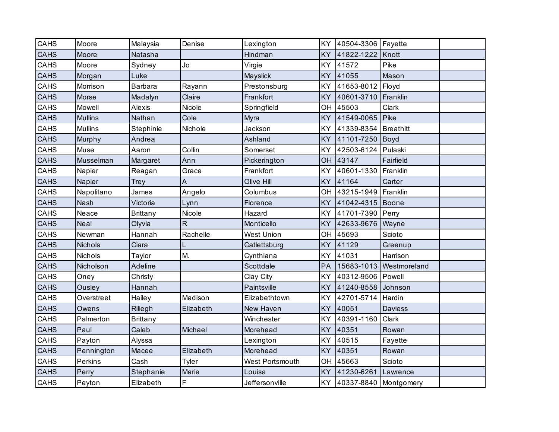| CAHS        | Moore          | Malaysia        | Denise    | Lexington              | KY        | 40504-3306 Fayette    |                  |  |
|-------------|----------------|-----------------|-----------|------------------------|-----------|-----------------------|------------------|--|
| <b>CAHS</b> | Moore          | Natasha         |           | Hindman                | <b>KY</b> | 41822-1222            | Knott            |  |
| CAHS        | Moore          | Sydney          | Jo        | Virgie                 | <b>KY</b> | 41572                 | Pike             |  |
| <b>CAHS</b> | Morgan         | Luke            |           | Mayslick               | <b>KY</b> | 41055                 | Mason            |  |
| CAHS        | Morrison       | Barbara         | Rayann    | Prestonsburg           | KY        | 41653-8012            | Floyd            |  |
| <b>CAHS</b> | Morse          | Madalyn         | Claire    | Frankfort              | <b>KY</b> | 40601-3710            | Franklin         |  |
| CAHS        | Mowell         | Alexis          | Nicole    | Springfield            | OH        | 45503                 | Clark            |  |
| <b>CAHS</b> | <b>Mullins</b> | Nathan          | Cole      | Myra                   | <b>KY</b> | 41549-0065            | Pike             |  |
| CAHS        | <b>Mullins</b> | Stephinie       | Nichole   | Jackson                | KY        | 41339-8354            | <b>Breathitt</b> |  |
| <b>CAHS</b> | Murphy         | Andrea          |           | Ashland                | <b>KY</b> | 41101-7250            | Boyd             |  |
| CAHS        | Muse           | Aaron           | Collin    | Somerset               | <b>KY</b> | 42503-6124            | Pulaski          |  |
| <b>CAHS</b> | Musselman      | Margaret        | Ann       | Pickerington           | OH        | 43147                 | Fairfield        |  |
| CAHS        | Napier         | Reagan          | Grace     | Frankfort              | KY        | 40601-1330            | Franklin         |  |
| <b>CAHS</b> | Napier         | Trey            | A         | Olive Hill             | <b>KY</b> | 41164                 | Carter           |  |
| CAHS        | Napolitano     | James           | Angelo    | Columbus               | OH        | 43215-1949            | Franklin         |  |
| <b>CAHS</b> | <b>Nash</b>    | Victoria        | Lynn      | Florence               | <b>KY</b> | 41042-4315            | Boone            |  |
| CAHS        | Neace          | <b>Brittany</b> | Nicole    | Hazard                 | <b>KY</b> | 41701-7390            | Perry            |  |
| <b>CAHS</b> | Neal           | Olyvia          | ${\sf R}$ | Monticello             | <b>KY</b> | 42633-9676            | Wayne            |  |
| CAHS        | Newman         | Hannah          | Rachelle  | <b>West Union</b>      | OH        | 45693                 | Scioto           |  |
| <b>CAHS</b> | <b>Nichols</b> | Ciara           | L         | Catlettsburg           | <b>KY</b> | 41129                 | Greenup          |  |
| CAHS        | Nichols        | Taylor          | M.        | Cynthiana              | <b>KY</b> | 41031                 | Harrison         |  |
| <b>CAHS</b> | Nicholson      | Adeline         |           | Scottdale              | PA        | 15683-1013            | Westmoreland     |  |
| CAHS        | Oney           | Christy         |           | Clay City              | <b>KY</b> | 40312-9506            | Powell           |  |
| <b>CAHS</b> | Ousley         | Hannah          |           | Paintsville            | <b>KY</b> | 41240-8558            | Johnson          |  |
| CAHS        | Overstreet     | Hailey          | Madison   | Elizabethtown          | KY        | 42701-5714            | Hardin           |  |
| <b>CAHS</b> | Owens          | Riliegh         | Elizabeth | New Haven              | <b>KY</b> | 40051                 | Daviess          |  |
| CAHS        | Palmerton      | <b>Brittany</b> |           | Winchester             | KY        | 40391-1160            | Clark            |  |
| <b>CAHS</b> | Paul           | Caleb           | Michael   | Morehead               | <b>KY</b> | 40351                 | Rowan            |  |
| CAHS        | Payton         | Alyssa          |           | Lexington              | KY        | 40515                 | Fayette          |  |
| <b>CAHS</b> | Pennington     | Macee           | Elizabeth | Morehead               | <b>KY</b> | 40351                 | Rowan            |  |
| CAHS        | Perkins        | Cash            | Tyler     | <b>West Portsmouth</b> | OH        | 45663                 | Scioto           |  |
| <b>CAHS</b> | Perry          | Stephanie       | Marie     | Louisa                 | <b>KY</b> | 41230-6261            | Lawrence         |  |
| CAHS        | Peyton         | Elizabeth       | F         | Jeffersonville         | KY        | 40337-8840 Montgomery |                  |  |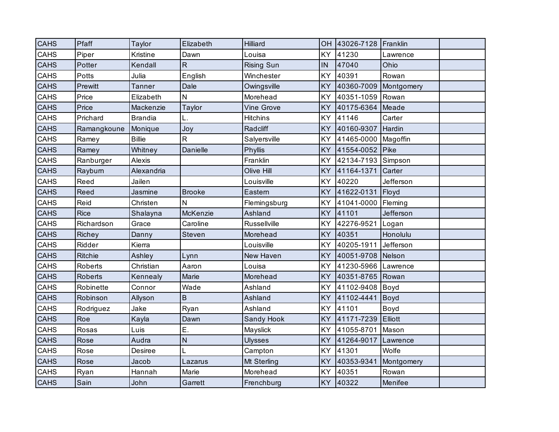| <b>CAHS</b> | Pfaff       | Taylor         | Elizabeth     | Hilliard          | OH        | 43026-7128 | Franklin   |  |
|-------------|-------------|----------------|---------------|-------------------|-----------|------------|------------|--|
| CAHS        | Piper       | Kristine       | Dawn          | Louisa            | <b>KY</b> | 41230      | Lawrence   |  |
| CAHS        | Potter      | Kendall        | $\mathsf{R}$  | <b>Rising Sun</b> | IN        | 47040      | Ohio       |  |
| CAHS        | Potts       | Julia          | English       | Winchester        | <b>KY</b> | 40391      | Rowan      |  |
| <b>CAHS</b> | Prewitt     | <b>Tanner</b>  | Dale          | Owingsville       | <b>KY</b> | 40360-7009 | Montgomery |  |
| CAHS        | Price       | Elizabeth      | $\mathsf{N}$  | Morehead          | <b>KY</b> | 40351-1059 | Rowan      |  |
| <b>CAHS</b> | Price       | Mackenzie      | Taylor        | <b>Vine Grove</b> | <b>KY</b> | 40175-6364 | Meade      |  |
| CAHS        | Prichard    | <b>Brandia</b> | L.            | <b>Hitchins</b>   | <b>KY</b> | 41146      | Carter     |  |
| <b>CAHS</b> | Ramangkoune | Monique        | Joy           | Radcliff          | <b>KY</b> | 40160-9307 | Hardin     |  |
| CAHS        | Ramey       | <b>Billie</b>  | R             | Salyersville      | KY        | 41465-0000 | Magoffin   |  |
| <b>CAHS</b> | Ramey       | Whitney        | Danielle      | Phyllis           | <b>KY</b> | 41554-0052 | Pike       |  |
| CAHS        | Ranburger   | Alexis         |               | Franklin          | KY        | 42134-7193 | Simpson    |  |
| <b>CAHS</b> | Rayburn     | Alexandria     |               | Olive Hill        | <b>KY</b> | 41164-1371 | Carter     |  |
| <b>CAHS</b> | Reed        | Jailen         |               | Louisville        | <b>KY</b> | 40220      | Jefferson  |  |
| <b>CAHS</b> | Reed        | Jasmine        | <b>Brooke</b> | Eastern           | <b>KY</b> | 41622-0131 | Floyd      |  |
| CAHS        | Reid        | Christen       | N             | Flemingsburg      | <b>KY</b> | 41041-0000 | Fleming    |  |
| <b>CAHS</b> | <b>Rice</b> | Shalayna       | McKenzie      | Ashland           | <b>KY</b> | 41101      | Jefferson  |  |
| CAHS        | Richardson  | Grace          | Caroline      | Russellville      | <b>KY</b> | 42276-9521 | Logan      |  |
| <b>CAHS</b> | Richey      | Danny          | Steven        | Morehead          | <b>KY</b> | 40351      | Honolulu   |  |
| CAHS        | Ridder      | Kierra         |               | Louisville        | KY        | 40205-1911 | Jefferson  |  |
| <b>CAHS</b> | Ritchie     | Ashley         | Lynn          | New Haven         | <b>KY</b> | 40051-9708 | Nelson     |  |
| CAHS        | Roberts     | Christian      | Aaron         | Louisa            | <b>KY</b> | 41230-5966 | Lawrence   |  |
| <b>CAHS</b> | Roberts     | Kennealy       | Marie         | Morehead          | <b>KY</b> | 40351-8765 | Rowan      |  |
| CAHS        | Robinette   | Connor         | Wade          | Ashland           | <b>KY</b> | 41102-9408 | Boyd       |  |
| <b>CAHS</b> | Robinson    | Allyson        | $\sf B$       | Ashland           | <b>KY</b> | 41102-4441 | Boyd       |  |
| CAHS        | Rodriguez   | Jake           | Ryan          | Ashland           | <b>KY</b> | 41101      | Boyd       |  |
| <b>CAHS</b> | Roe         | Kayla          | Dawn          | Sandy Hook        | <b>KY</b> | 41171-7239 | Elliott    |  |
| CAHS        | Rosas       | Luis           | Ε.            | Mayslick          | KY        | 41055-8701 | Mason      |  |
| <b>CAHS</b> | Rose        | Audra          | N             | <b>Ulysses</b>    | <b>KY</b> | 41264-9017 | Lawrence   |  |
| CAHS        | Rose        | Desiree        |               | Campton           | KY        | 41301      | Wolfe      |  |
| <b>CAHS</b> | Rose        | Jacob          | Lazarus       | Mt Sterling       | <b>KY</b> | 40353-9341 | Montgomery |  |
| CAHS        | Ryan        | Hannah         | Marie         | Morehead          | <b>KY</b> | 40351      | Rowan      |  |
| <b>CAHS</b> | Sain        | John           | Garrett       | Frenchburg        | KY        | 40322      | Menifee    |  |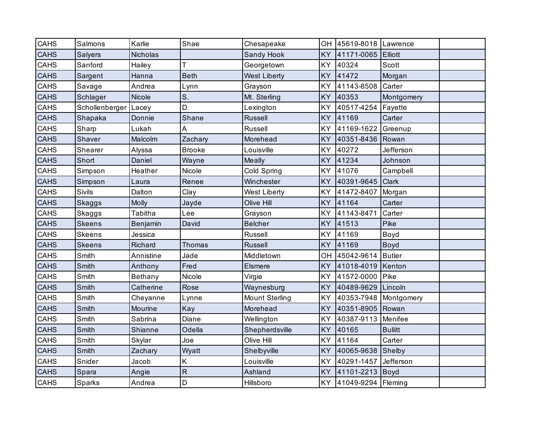| <b>CAHS</b> | Salmons        | Karlie       | Shae          | Chesapeake            | OH        | 45619-8018 Lawrence |                |  |
|-------------|----------------|--------------|---------------|-----------------------|-----------|---------------------|----------------|--|
| <b>CAHS</b> | Salyers        | Nicholas     |               | Sandy Hook            | <b>KY</b> | 41171-0065          | <b>Elliott</b> |  |
| CAHS        | Sanford        | Hailey       | т             | Georgetown            | <b>KY</b> | 40324               | Scott          |  |
| <b>CAHS</b> | Sargent        | Hanna        | <b>Beth</b>   | <b>West Liberty</b>   | <b>KY</b> | 41472               | Morgan         |  |
| CAHS        | Savage         | Andrea       | Lynn          | Grayson               | KY        | 41143-8508          | Carter         |  |
| <b>CAHS</b> | Schlager       | Nicole       | S.            | Mt. Sterling          | <b>KY</b> | 40353               | Montgomery     |  |
| CAHS        | Schollenberger | Lacey        | D.            | Lexington             | <b>KY</b> | 40517-4254          | Fayette        |  |
| <b>CAHS</b> | Shapaka        | Donnie       | Shane         | Russell               | <b>KY</b> | 41169               | Carter         |  |
| CAHS        | Sharp          | Lukah        | A             | Russell               | KY        | 41169-1622          | Greenup        |  |
| <b>CAHS</b> | Shaver         | Malcolm      | Zachary       | Morehead              | <b>KY</b> | 40351-8436          | Rowan          |  |
| CAHS        | Shearer        | Alyssa       | <b>Brooke</b> | Louisville            | <b>KY</b> | 40272               | Jefferson      |  |
| <b>CAHS</b> | Short          | Daniel       | Wayne         | <b>Meally</b>         | <b>KY</b> | 41234               | Johnson        |  |
| CAHS        | Simpson        | Heather      | Nicole        | Cold Spring           | KY        | 41076               | Campbell       |  |
| <b>CAHS</b> | Simpson        | Laura        | Renee         | Winchester            | <b>KY</b> | 40391-9645          | <b>Clark</b>   |  |
| CAHS        | Sivils         | Dalton       | Clay          | <b>West Liberty</b>   | <b>KY</b> | 41472-8407          | Morgan         |  |
| <b>CAHS</b> | Skaggs         | <b>Molly</b> | Jayde         | Olive Hill            | KY        | 41164               | Carter         |  |
| CAHS        | Skaggs         | Tabitha      | Lee           | Grayson               | KY        | 41143-8471          | Carter         |  |
| <b>CAHS</b> | <b>Skeens</b>  | Benjamin     | David         | <b>Belcher</b>        | <b>KY</b> | 41513               | Pike           |  |
| CAHS        | Skeens         | Jessica      |               | Russell               | <b>KY</b> | 41169               | Boyd           |  |
| <b>CAHS</b> | <b>Skeens</b>  | Richard      | Thomas        | <b>Russell</b>        | KY        | 41169               | <b>Boyd</b>    |  |
| CAHS        | Smith          | Annistine    | Jade          | Middletown            | OH        | 45042-9614          | <b>Butler</b>  |  |
| <b>CAHS</b> | Smith          | Anthony      | Fred          | Elsmere               | <b>KY</b> | 41018-4019          | Kenton         |  |
| CAHS        | Smith          | Bethany      | Nicole        | Virgie                | <b>KY</b> | 41572-0000          | Pike           |  |
| <b>CAHS</b> | Smith          | Catherine    | Rose          | Waynesburg            | <b>KY</b> | 40489-9629          | Lincoln        |  |
| CAHS        | Smith          | Cheyanne     | Lynne         | <b>Mount Sterling</b> | KY        | 40353-7948          | Montgomery     |  |
| <b>CAHS</b> | Smith          | Mourine      | Kay           | Morehead              | <b>KY</b> | 40351-8905          | Rowan          |  |
| CAHS        | Smith          | Sabrina      | Diane         | Wellington            | KY        | 40387-9113          | Menifee        |  |
| <b>CAHS</b> | Smith          | Shianne      | Odella        | Shepherdsville        | <b>KY</b> | 40165               | <b>Bullitt</b> |  |
| CAHS        | Smith          | Skylar       | Joe           | Olive Hill            | KY        | 41164               | Carter         |  |
| <b>CAHS</b> | Smith          | Zachary      | Wyatt         | Shelbyville           | <b>KY</b> | 40065-9638          | Shelby         |  |
| CAHS        | Snider         | Jacob        | Κ             | Louisville            | KY        | 40291-1457          | Jefferson      |  |
| <b>CAHS</b> | Spara          | Angie        | ${\sf R}$     | Ashland               | <b>KY</b> | 41101-2213          | Boyd           |  |
| CAHS        | Sparks         | Andrea       | D             | Hillsboro             | <b>KY</b> | 41049-9294 Fleming  |                |  |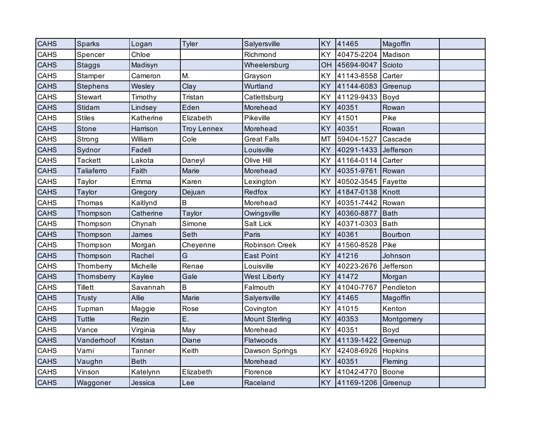| <b>CAHS</b> | Sparks            | Logan         | <b>Tyler</b>       | Salyersville          | KY        | 41465              | Magoffin    |  |
|-------------|-------------------|---------------|--------------------|-----------------------|-----------|--------------------|-------------|--|
| CAHS        | Spencer           | Chloe         |                    | Richmond              | <b>KY</b> | 40475-2204         | Madison     |  |
| <b>CAHS</b> | <b>Staggs</b>     | Madisyn       |                    | Wheelersburg          | OH        | 45694-9047         | Scioto      |  |
| CAHS        | Stamper           | Cameron       | M.                 | Grayson               | <b>KY</b> | 41143-8558         | Carter      |  |
| <b>CAHS</b> | <b>Stephens</b>   | Wesley        | Clay               | Wurtland              | <b>KY</b> | 41144-6083         | Greenup     |  |
| CAHS        | Stewart           | Timothy       | Tristan            | Catlettsburg          | <b>KY</b> | 41129-9433         | Boyd        |  |
| CAHS        | <b>Stidam</b>     | Lindsey       | Eden               | Morehead              | <b>KY</b> | 40351              | Rowan       |  |
| CAHS        | <b>Stiles</b>     | Katherine     | Elizabeth          | Pikeville             | KY        | 41501              | Pike        |  |
| <b>CAHS</b> | <b>Stone</b>      | Harrison      | <b>Troy Lennex</b> | Morehead              | <b>KY</b> | 40351              | Rowan       |  |
| CAHS        | Strong            | William       | Cole               | <b>Great Falls</b>    | MT        | 59404-1527         | Cascade     |  |
| <b>CAHS</b> | Sydnor            | Fadell        |                    | Louisville            | <b>KY</b> | 40291-1433         | Jefferson   |  |
| CAHS        | <b>Tackett</b>    | Lakota        | Daneyl             | Olive Hill            | KY        | 41164-0114         | Carter      |  |
| <b>CAHS</b> | <b>Taliaferro</b> | Faith         | Marie              | Morehead              | <b>KY</b> | 40351-9761         | Rowan       |  |
| CAHS        | Taylor            | Emma          | Karen              | Lexington             | KY        | 40502-3545         | Fayette     |  |
| <b>CAHS</b> | Taylor            | Gregory       | Dejuan             | Redfox                | <b>KY</b> | 41847-0138         | Knott       |  |
| CAHS        | Thomas            | Kaitlynd      | B                  | Morehead              | KY        | 40351-7442         | Rowan       |  |
| CAHS        | Thompson          | Catherine     | Taylor             | Owingsville           | <b>KY</b> | 40360-8877         | <b>Bath</b> |  |
| CAHS        | Thompson          | Chynah        | Simone             | Salt Lick             | KY        | 40371-0303         | <b>Bath</b> |  |
| <b>CAHS</b> | Thompson          | James         | Seth               | Paris                 | <b>KY</b> | 40361              | Bourbon     |  |
| CAHS        | Thompson          | Morgan        | Cheyenne           | <b>Robinson Creek</b> | KY        | 41560-8528         | Pike        |  |
| <b>CAHS</b> | Thompson          | Rachel        | G                  | <b>East Point</b>     | <b>KY</b> | 41216              | Johnson     |  |
| CAHS        | Thomberry         | Michelle      | Renae              | Louisville            | <b>KY</b> | 40223-2676         | Jefferson   |  |
| <b>CAHS</b> | Thornsberry       | Kaylee        | Gale               | <b>West Liberty</b>   | <b>KY</b> | 41472              | Morgan      |  |
| CAHS        | <b>Tillett</b>    | Savannah      | B                  | Falmouth              | KY        | 41040-7767         | Pendleton   |  |
| <b>CAHS</b> | Trusty            | Allie         | Marie              | Salyersville          | <b>KY</b> | 41465              | Magoffin    |  |
| CAHS        | Tupman            | Maggie        | Rose               | Covington             | KY        | 41015              | Kenton      |  |
| <b>CAHS</b> | <b>Tuttle</b>     | Rezin         | Ε.                 | <b>Mount Sterling</b> | <b>KY</b> | 40353              | Montgomery  |  |
| CAHS        | Vance             | Virginia      | May                | Morehead              | KY        | 40351              | Boyd        |  |
| <b>CAHS</b> | Vanderhoof        | Kristan       | Diane              | Flatwoods             | <b>KY</b> | 41139-1422         | Greenup     |  |
| CAHS        | Varni             | <b>Tanner</b> | Keith              | Dawson Springs        | KY        | 42408-6926         | Hopkins     |  |
| <b>CAHS</b> | Vaughn            | <b>Beth</b>   |                    | Morehead              | <b>KY</b> | 40351              | Fleming     |  |
| CAHS        | Vinson            | Katelynn      | Elizabeth          | Florence              | KY        | 41042-4770         | Boone       |  |
| <b>CAHS</b> | Waggoner          | Jessica       | Lee                | Raceland              | <b>KY</b> | 41169-1206 Greenup |             |  |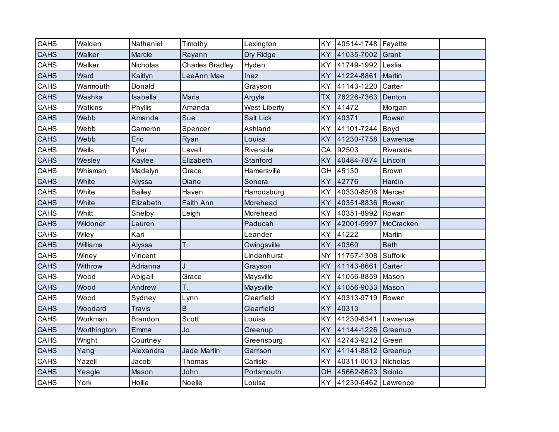| <b>CAHS</b> | Walden         | Nathaniel      | Timothy                | Lexington        | KY        | 40514-1748 Fayette  |              |  |
|-------------|----------------|----------------|------------------------|------------------|-----------|---------------------|--------------|--|
| <b>CAHS</b> | Walker         | Marcie         | Rayann                 | Dry Ridge        | <b>KY</b> | 41035-7002          | Grant        |  |
| CAHS        | Walker         | Nicholas       | <b>Charles Bradley</b> | Hyden            | <b>KY</b> | 41749-1992          | Leslie       |  |
| <b>CAHS</b> | Ward           | Kaitlyn        | LeeAnn Mae             | Inez             | <b>KY</b> | 41224-8861          | Martin       |  |
| <b>CAHS</b> | Warmouth       | Donald         |                        | Grayson          | KY        | 41143-1220          | Carter       |  |
| <b>CAHS</b> | Washka         | Isabella       | Maria                  | Argyle           | <b>TX</b> | 76226-7363          | Denton       |  |
| CAHS        | <b>Watkins</b> | Phyllis        | Amanda                 | West Liberty     | <b>KY</b> | 41472               | Morgan       |  |
| <b>CAHS</b> | Webb           | Amanda         | Sue                    | <b>Salt Lick</b> | <b>KY</b> | 40371               | Rowan        |  |
| CAHS        | Webb           | Cameron        | Spencer                | Ashland          | <b>KY</b> | 41101-7244          | Boyd         |  |
| <b>CAHS</b> | Webb           | Eric           | Ryan                   | Louisa           | <b>KY</b> | 41230-7758          | Lawrence     |  |
| CAHS        | Wells          | Tyler          | Levell                 | Riverside        | CA        | 92503               | Riverside    |  |
| <b>CAHS</b> | Wesley         | Kaylee         | Elizabeth              | Stanford         | <b>KY</b> | 40484-7874          | Lincoln      |  |
| CAHS        | Whisman        | Madelyn        | Grace                  | Hamersville      | OH        | 45130               | <b>Brown</b> |  |
| <b>CAHS</b> | White          | Alyssa         | Diane                  | Sonora           | <b>KY</b> | 42776               | Hardin       |  |
| CAHS        | White          | <b>Bailey</b>  | Haven                  | Harrodsburg      | <b>KY</b> | 40330-8508          | Mercer       |  |
| <b>CAHS</b> | White          | Elizabeth      | Faith Ann              | Morehead         | <b>KY</b> | 40351-8836          | Rowan        |  |
| CAHS        | Whitt          | Shelby         | Leigh                  | Morehead         | <b>KY</b> | 40351-8992          | Rowan        |  |
| <b>CAHS</b> | Wildoner       | Lauren         |                        | Paducah          | <b>KY</b> | 42001-5997          | McCracken    |  |
| CAHS        | Wiley          | Kari           |                        | Leander          | <b>KY</b> | 41222               | Martin       |  |
| <b>CAHS</b> | Williams       | Alyssa         | T.                     | Owingsville      | <b>KY</b> | 40360               | <b>Bath</b>  |  |
| <b>CAHS</b> | Winey          | Vincent        |                        | Lindenhurst      | <b>NY</b> | 11757-1308          | Suffolk      |  |
| <b>CAHS</b> | Withrow        | Adrianna       | J                      | Grayson          | <b>KY</b> | 41143-8661          | Carter       |  |
| CAHS        | Wood           | Abigail        | Grace                  | Maysville        | <b>KY</b> | 41056-8859          | Mason        |  |
| <b>CAHS</b> | Wood           | Andrew         | Т.                     | Maysville        | <b>KY</b> | 41056-9033          | Mason        |  |
| <b>CAHS</b> | Wood           | Sydney         | Lynn                   | Clearfield       | KY        | 40313-9719          | Rowan        |  |
| <b>CAHS</b> | Woodard        | <b>Travis</b>  | $\mathsf B$            | Clearfield       | <b>KY</b> | 40313               |              |  |
| CAHS        | Workman        | <b>Brandon</b> | <b>Scott</b>           | Louisa           | KY        | 41230-6341 Lawrence |              |  |
| <b>CAHS</b> | Worthington    | Emma           | Jo                     | Greenup          | <b>KY</b> | 41144-1226          | Greenup      |  |
| CAHS        | Wright         | Courtney       |                        | Greensburg       | KY        | 42743-9212          | Green        |  |
| <b>CAHS</b> | Yang           | Alexandra      | Jade Martin            | Garrison         | <b>KY</b> | 41141-8812 Greenup  |              |  |
| CAHS        | Yazell         | Jacob          | Thomas                 | Carlisle         | KY        | 40311-0013          | Nicholas     |  |
| <b>CAHS</b> | Yeagle         | Mason          | John                   | Portsmouth       | OH        | 45662-8623          | Scioto       |  |
| CAHS        | York           | Hollie         | Noelle                 | Louisa           | <b>KY</b> | 41230-6462 Lawrence |              |  |